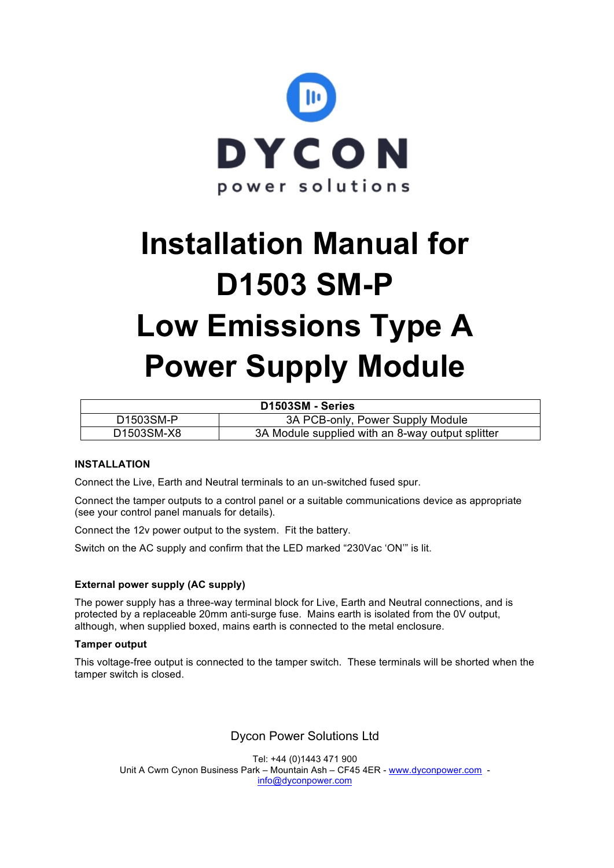

# **Installation Manual for D1503 SM-P Low Emissions Type A Power Supply Module**

| D1503SM - Series |                                                  |  |  |
|------------------|--------------------------------------------------|--|--|
| D1503SM-P        | 3A PCB-only, Power Supply Module                 |  |  |
| D1503SM-X8       | 3A Module supplied with an 8-way output splitter |  |  |

### **INSTALLATION**

Connect the Live, Earth and Neutral terminals to an un-switched fused spur.

Connect the tamper outputs to a control panel or a suitable communications device as appropriate (see your control panel manuals for details).

Connect the 12v power output to the system. Fit the battery.

Switch on the AC supply and confirm that the LED marked "230Vac 'ON'" is lit.

#### **External power supply (AC supply)**

The power supply has a three-way terminal block for Live, Earth and Neutral connections, and is protected by a replaceable 20mm anti-surge fuse. Mains earth is isolated from the 0V output, although, when supplied boxed, mains earth is connected to the metal enclosure.

#### **Tamper output**

This voltage-free output is connected to the tamper switch. These terminals will be shorted when the tamper switch is closed.

Dycon Power Solutions Ltd

Tel: +44 (0)1443 471 900 Unit A Cwm Cynon Business Park – Mountain Ash – CF45 4ER - www.dyconpower.com info@dyconpower.com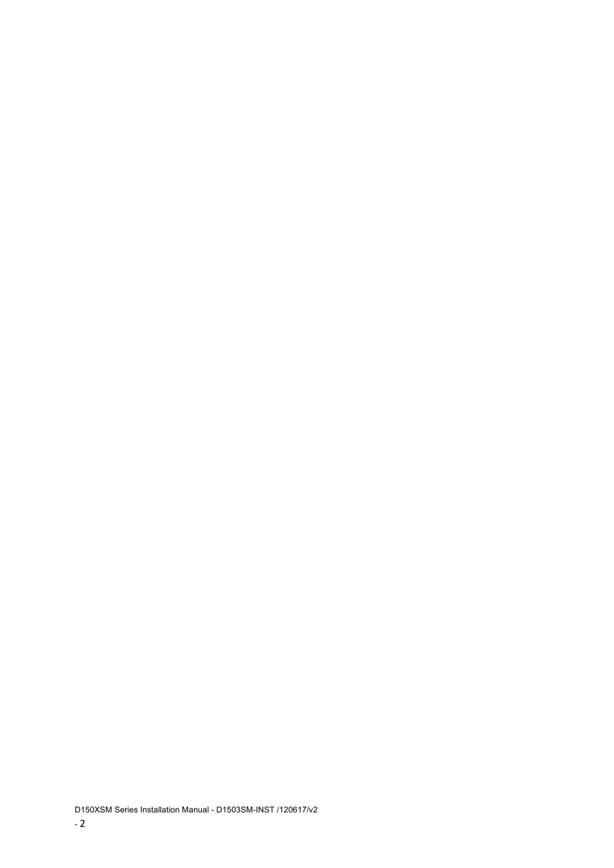D150XSM Series Installation Manual - D1503SM-INST /120617/v2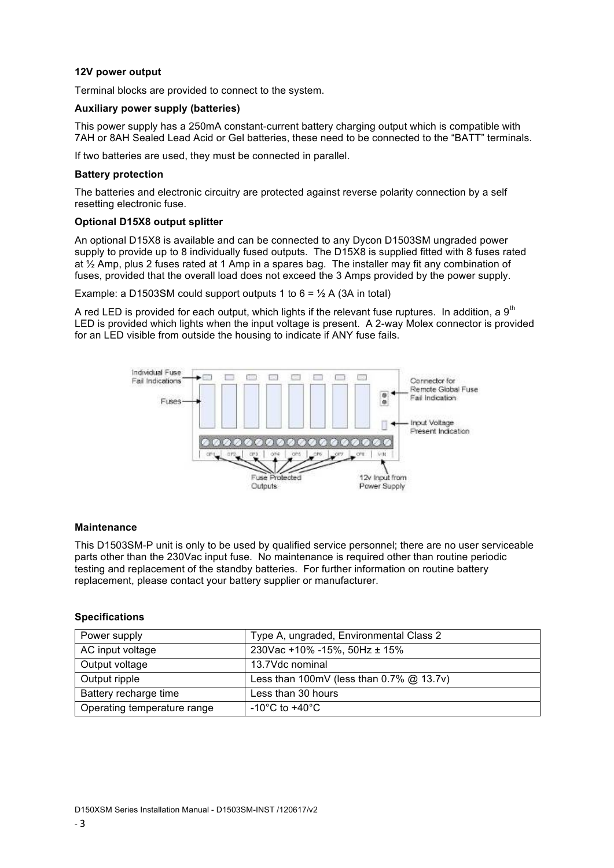#### **12V power output**

Terminal blocks are provided to connect to the system.

#### **Auxiliary power supply (batteries)**

This power supply has a 250mA constant-current battery charging output which is compatible with 7AH or 8AH Sealed Lead Acid or Gel batteries, these need to be connected to the "BATT" terminals.

If two batteries are used, they must be connected in parallel.

#### **Battery protection**

The batteries and electronic circuitry are protected against reverse polarity connection by a self resetting electronic fuse.

#### **Optional D15X8 output splitter**

An optional D15X8 is available and can be connected to any Dycon D1503SM ungraded power supply to provide up to 8 individually fused outputs. The D15X8 is supplied fitted with 8 fuses rated at ½ Amp, plus 2 fuses rated at 1 Amp in a spares bag. The installer may fit any combination of fuses, provided that the overall load does not exceed the 3 Amps provided by the power supply.

Example: a D1503SM could support outputs 1 to  $6 = \frac{1}{2}$  A (3A in total)

A red LED is provided for each output, which lights if the relevant fuse ruptures. In addition, a  $9<sup>th</sup>$ LED is provided which lights when the input voltage is present. A 2-way Molex connector is provided for an LED visible from outside the housing to indicate if ANY fuse fails.



#### **Maintenance**

This D1503SM-P unit is only to be used by qualified service personnel; there are no user serviceable parts other than the 230Vac input fuse. No maintenance is required other than routine periodic testing and replacement of the standby batteries. For further information on routine battery replacement, please contact your battery supplier or manufacturer.

#### **Specifications**

| Power supply                | Type A, ungraded, Environmental Class 2     |
|-----------------------------|---------------------------------------------|
| AC input voltage            | 230Vac +10% -15%, 50Hz ± 15%                |
| Output voltage              | 13.7Vdc nominal                             |
| Output ripple               | Less than 100mV (less than $0.7\%$ @ 13.7v) |
| Battery recharge time       | Less than 30 hours                          |
| Operating temperature range | -10°C to +40°C                              |